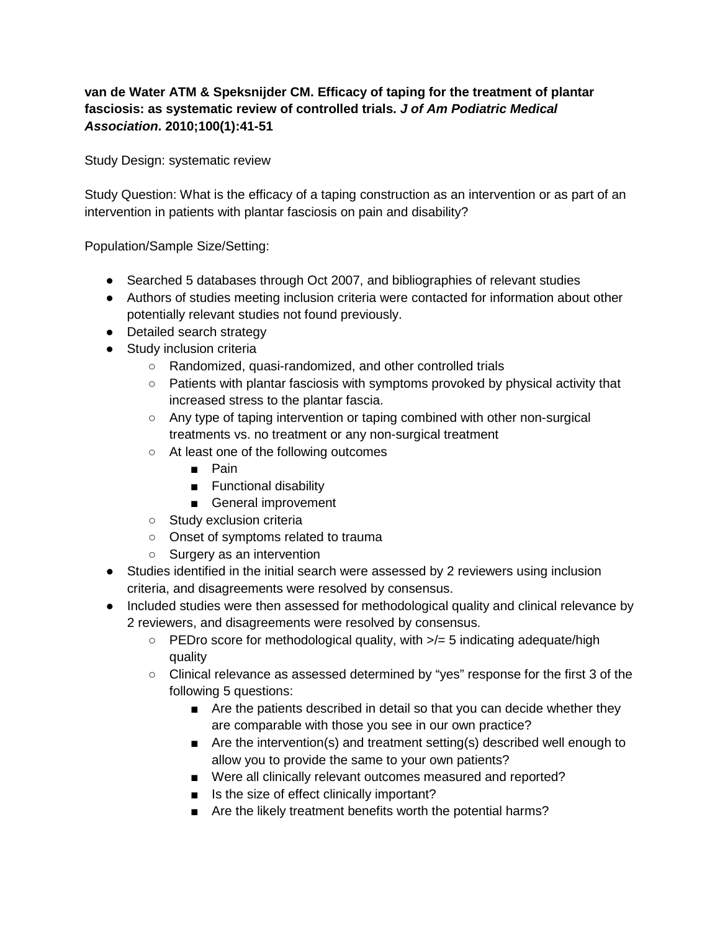## **van de Water ATM & Speksnijder CM. Efficacy of taping for the treatment of plantar fasciosis: as systematic review of controlled trials.** *J of Am Podiatric Medical Association***. 2010;100(1):41-51**

Study Design: systematic review

Study Question: What is the efficacy of a taping construction as an intervention or as part of an intervention in patients with plantar fasciosis on pain and disability?

Population/Sample Size/Setting:

- Searched 5 databases through Oct 2007, and bibliographies of relevant studies
- Authors of studies meeting inclusion criteria were contacted for information about other potentially relevant studies not found previously.
- Detailed search strategy
- Study inclusion criteria
	- Randomized, quasi-randomized, and other controlled trials
	- $\circ$  Patients with plantar fasciosis with symptoms provoked by physical activity that increased stress to the plantar fascia.
	- Any type of taping intervention or taping combined with other non-surgical treatments vs. no treatment or any non-surgical treatment
	- At least one of the following outcomes
		- Pain
		- Functional disability
		- General improvement
	- Study exclusion criteria
	- Onset of symptoms related to trauma
	- Surgery as an intervention
- Studies identified in the initial search were assessed by 2 reviewers using inclusion criteria, and disagreements were resolved by consensus.
- Included studies were then assessed for methodological quality and clinical relevance by 2 reviewers, and disagreements were resolved by consensus.
	- PEDro score for methodological quality, with >/= 5 indicating adequate/high quality
	- Clinical relevance as assessed determined by "yes" response for the first 3 of the following 5 questions:
		- Are the patients described in detail so that you can decide whether they are comparable with those you see in our own practice?
		- Are the intervention(s) and treatment setting(s) described well enough to allow you to provide the same to your own patients?
		- Were all clinically relevant outcomes measured and reported?
		- Is the size of effect clinically important?
		- Are the likely treatment benefits worth the potential harms?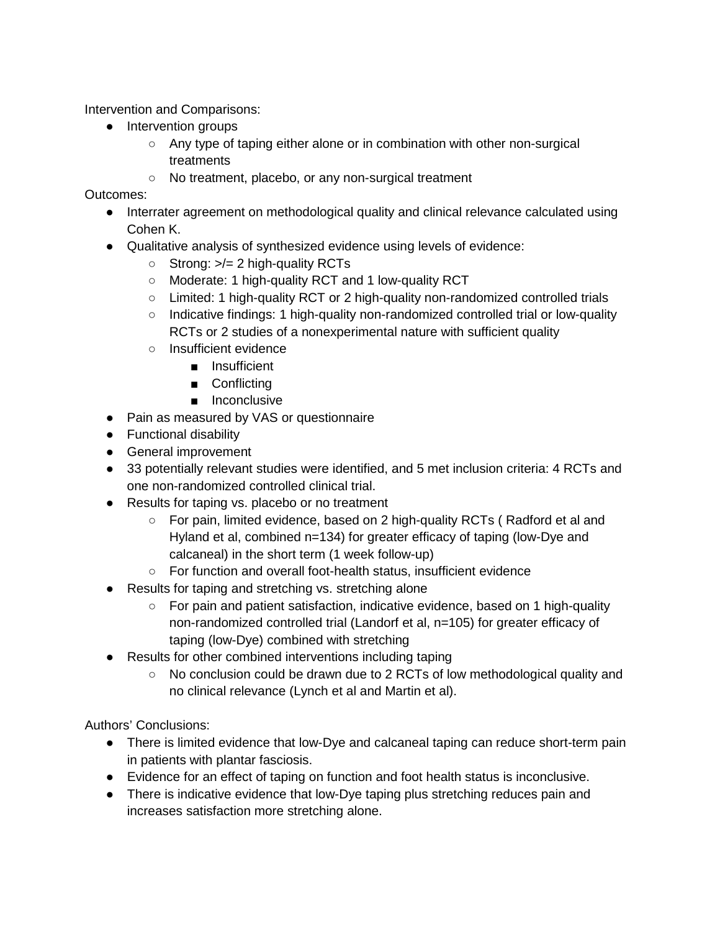Intervention and Comparisons:

- Intervention groups
	- Any type of taping either alone or in combination with other non-surgical treatments
	- No treatment, placebo, or any non-surgical treatment

Outcomes:

- Interrater agreement on methodological quality and clinical relevance calculated using Cohen K.
- Qualitative analysis of synthesized evidence using levels of evidence:
	- $\circ$  Strong:  $\ge$  = 2 high-quality RCTs
	- Moderate: 1 high-quality RCT and 1 low-quality RCT
	- Limited: 1 high-quality RCT or 2 high-quality non-randomized controlled trials
	- Indicative findings: 1 high-quality non-randomized controlled trial or low-quality RCTs or 2 studies of a nonexperimental nature with sufficient quality
	- Insufficient evidence
		- Insufficient
		- Conflicting
		- Inconclusive
- Pain as measured by VAS or questionnaire
- Functional disability
- General improvement
- 33 potentially relevant studies were identified, and 5 met inclusion criteria: 4 RCTs and one non-randomized controlled clinical trial.
- Results for taping vs. placebo or no treatment
	- For pain, limited evidence, based on 2 high-quality RCTs (Radford et al and Hyland et al, combined n=134) for greater efficacy of taping (low-Dye and calcaneal) in the short term (1 week follow-up)
	- For function and overall foot-health status, insufficient evidence
- Results for taping and stretching vs. stretching alone
	- For pain and patient satisfaction, indicative evidence, based on 1 high-quality non-randomized controlled trial (Landorf et al, n=105) for greater efficacy of taping (low-Dye) combined with stretching
- Results for other combined interventions including taping
	- No conclusion could be drawn due to 2 RCTs of low methodological quality and no clinical relevance (Lynch et al and Martin et al).

Authors' Conclusions:

- There is limited evidence that low-Dye and calcaneal taping can reduce short-term pain in patients with plantar fasciosis.
- Evidence for an effect of taping on function and foot health status is inconclusive.
- There is indicative evidence that low-Dye taping plus stretching reduces pain and increases satisfaction more stretching alone.